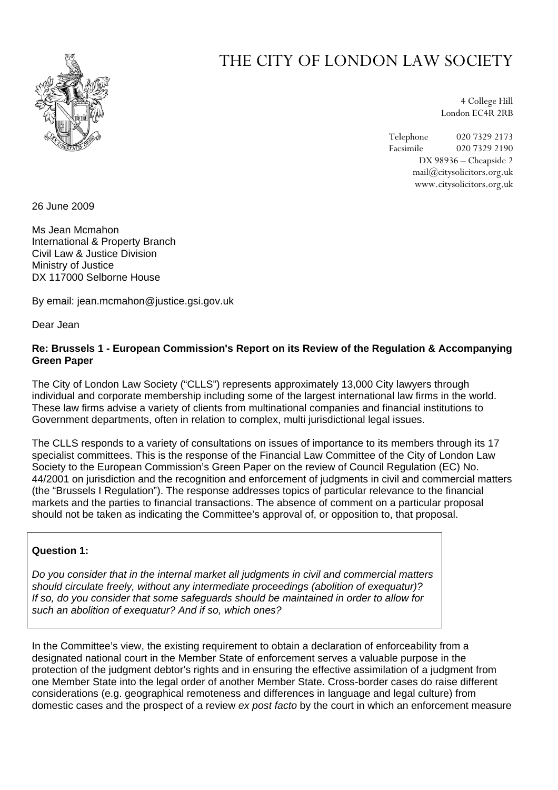

# THE CITY OF LONDON LAW SOCIETY

4 College Hill London EC4R 2RB

Telephone 020 7329 2173 Facsimile 020 7329 2190 DX 98936 – Cheapside 2 mail@citysolicitors.org.uk www.citysolicitors.org.uk

26 June 2009

Ms Jean Mcmahon International & Property Branch Civil Law & Justice Division Ministry of Justice DX 117000 Selborne House

By email: jean.mcmahon@justice.gsi.gov.uk

Dear Jean

#### **Re: Brussels 1 - European Commission's Report on its Review of the Regulation & Accompanying Green Paper**

The City of London Law Society ("CLLS") represents approximately 13,000 City lawyers through individual and corporate membership including some of the largest international law firms in the world. These law firms advise a variety of clients from multinational companies and financial institutions to Government departments, often in relation to complex, multi jurisdictional legal issues.

The CLLS responds to a variety of consultations on issues of importance to its members through its 17 specialist committees. This is the response of the Financial Law Committee of the City of London Law Society to the European Commission's Green Paper on the review of Council Regulation (EC) No. 44/2001 on jurisdiction and the recognition and enforcement of judgments in civil and commercial matters (the "Brussels I Regulation"). The response addresses topics of particular relevance to the financial markets and the parties to financial transactions. The absence of comment on a particular proposal should not be taken as indicating the Committee's approval of, or opposition to, that proposal.

## **Question 1:**

*Do you consider that in the internal market all judgments in civil and commercial matters should circulate freely, without any intermediate proceedings (abolition of exequatur)? If so, do you consider that some safeguards should be maintained in order to allow for such an abolition of exequatur? And if so, which ones?* 

In the Committee's view, the existing requirement to obtain a declaration of enforceability from a designated national court in the Member State of enforcement serves a valuable purpose in the protection of the judgment debtor's rights and in ensuring the effective assimilation of a judgment from one Member State into the legal order of another Member State. Cross-border cases do raise different considerations (e.g. geographical remoteness and differences in language and legal culture) from domestic cases and the prospect of a review *ex post facto* by the court in which an enforcement measure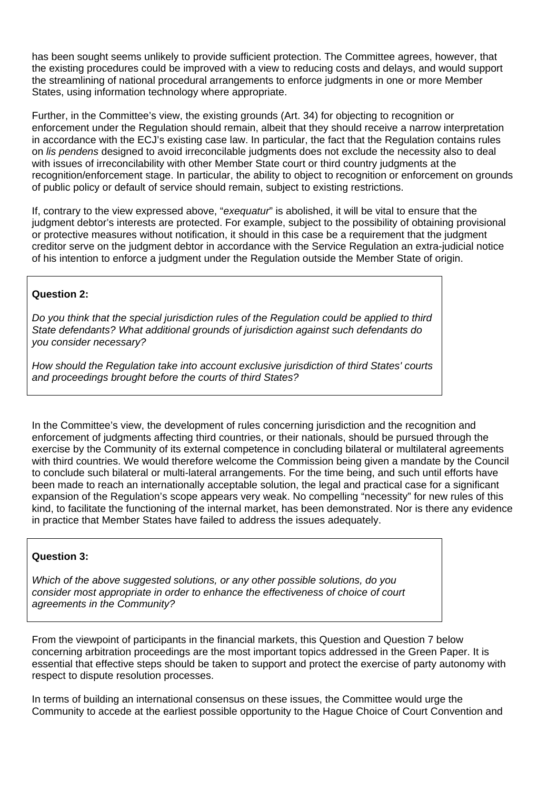has been sought seems unlikely to provide sufficient protection. The Committee agrees, however, that the existing procedures could be improved with a view to reducing costs and delays, and would support the streamlining of national procedural arrangements to enforce judgments in one or more Member States, using information technology where appropriate.

Further, in the Committee's view, the existing grounds (Art. 34) for objecting to recognition or enforcement under the Regulation should remain, albeit that they should receive a narrow interpretation in accordance with the ECJ's existing case law. In particular, the fact that the Regulation contains rules on *lis pendens* designed to avoid irreconcilable judgments does not exclude the necessity also to deal with issues of irreconcilability with other Member State court or third country judgments at the recognition/enforcement stage. In particular, the ability to object to recognition or enforcement on grounds of public policy or default of service should remain, subject to existing restrictions.

If, contrary to the view expressed above, "*exequatur*" is abolished, it will be vital to ensure that the judgment debtor's interests are protected. For example, subject to the possibility of obtaining provisional or protective measures without notification, it should in this case be a requirement that the judgment creditor serve on the judgment debtor in accordance with the Service Regulation an extra-judicial notice of his intention to enforce a judgment under the Regulation outside the Member State of origin.

# **Question 2:**

*Do you think that the special jurisdiction rules of the Regulation could be applied to third State defendants? What additional grounds of jurisdiction against such defendants do you consider necessary?* 

*How should the Regulation take into account exclusive jurisdiction of third States' courts and proceedings brought before the courts of third States?* 

In the Committee's view, the development of rules concerning jurisdiction and the recognition and enforcement of judgments affecting third countries, or their nationals, should be pursued through the exercise by the Community of its external competence in concluding bilateral or multilateral agreements with third countries. We would therefore welcome the Commission being given a mandate by the Council to conclude such bilateral or multi-lateral arrangements. For the time being, and such until efforts have been made to reach an internationally acceptable solution, the legal and practical case for a significant expansion of the Regulation's scope appears very weak. No compelling "necessity" for new rules of this kind, to facilitate the functioning of the internal market, has been demonstrated. Nor is there any evidence in practice that Member States have failed to address the issues adequately.

## **Question 3:**

*Which of the above suggested solutions, or any other possible solutions, do you consider most appropriate in order to enhance the effectiveness of choice of court agreements in the Community?* 

From the viewpoint of participants in the financial markets, this Question and Question 7 below concerning arbitration proceedings are the most important topics addressed in the Green Paper. It is essential that effective steps should be taken to support and protect the exercise of party autonomy with respect to dispute resolution processes.

In terms of building an international consensus on these issues, the Committee would urge the Community to accede at the earliest possible opportunity to the Hague Choice of Court Convention and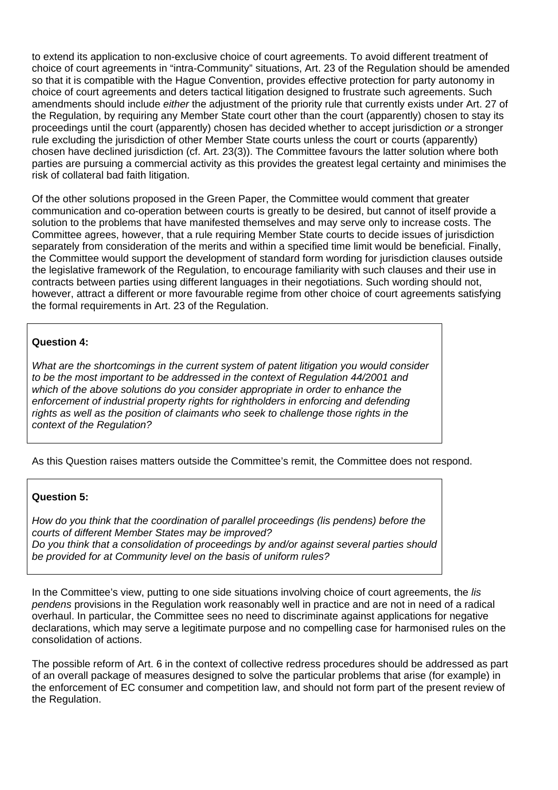to extend its application to non-exclusive choice of court agreements. To avoid different treatment of choice of court agreements in "intra-Community" situations, Art. 23 of the Regulation should be amended so that it is compatible with the Hague Convention, provides effective protection for party autonomy in choice of court agreements and deters tactical litigation designed to frustrate such agreements. Such amendments should include *either* the adjustment of the priority rule that currently exists under Art. 27 of the Regulation, by requiring any Member State court other than the court (apparently) chosen to stay its proceedings until the court (apparently) chosen has decided whether to accept jurisdiction *or* a stronger rule excluding the jurisdiction of other Member State courts unless the court or courts (apparently) chosen have declined jurisdiction (cf. Art. 23(3)). The Committee favours the latter solution where both parties are pursuing a commercial activity as this provides the greatest legal certainty and minimises the risk of collateral bad faith litigation.

Of the other solutions proposed in the Green Paper, the Committee would comment that greater communication and co-operation between courts is greatly to be desired, but cannot of itself provide a solution to the problems that have manifested themselves and may serve only to increase costs. The Committee agrees, however, that a rule requiring Member State courts to decide issues of jurisdiction separately from consideration of the merits and within a specified time limit would be beneficial. Finally, the Committee would support the development of standard form wording for jurisdiction clauses outside the legislative framework of the Regulation, to encourage familiarity with such clauses and their use in contracts between parties using different languages in their negotiations. Such wording should not, however, attract a different or more favourable regime from other choice of court agreements satisfying the formal requirements in Art. 23 of the Regulation.

## **Question 4:**

*What are the shortcomings in the current system of patent litigation you would consider to be the most important to be addressed in the context of Regulation 44/2001 and which of the above solutions do you consider appropriate in order to enhance the enforcement of industrial property rights for rightholders in enforcing and defending rights as well as the position of claimants who seek to challenge those rights in the context of the Regulation?* 

As this Question raises matters outside the Committee's remit, the Committee does not respond.

## **Question 5:**

*How do you think that the coordination of parallel proceedings (lis pendens) before the courts of different Member States may be improved? Do you think that a consolidation of proceedings by and/or against several parties should be provided for at Community level on the basis of uniform rules?* 

In the Committee's view, putting to one side situations involving choice of court agreements, the *lis pendens* provisions in the Regulation work reasonably well in practice and are not in need of a radical overhaul. In particular, the Committee sees no need to discriminate against applications for negative declarations, which may serve a legitimate purpose and no compelling case for harmonised rules on the consolidation of actions.

The possible reform of Art. 6 in the context of collective redress procedures should be addressed as part of an overall package of measures designed to solve the particular problems that arise (for example) in the enforcement of EC consumer and competition law, and should not form part of the present review of the Regulation.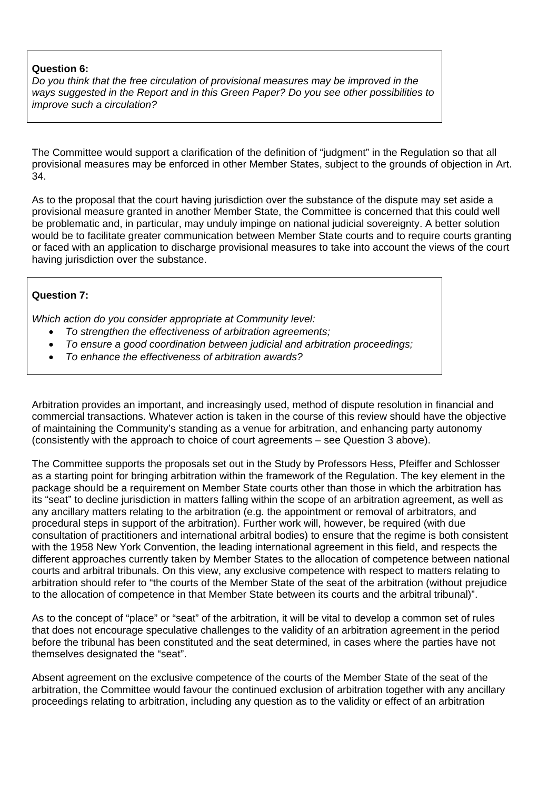#### **Question 6:**

*Do you think that the free circulation of provisional measures may be improved in the ways suggested in the Report and in this Green Paper? Do you see other possibilities to improve such a circulation?* 

The Committee would support a clarification of the definition of "judgment" in the Regulation so that all provisional measures may be enforced in other Member States, subject to the grounds of objection in Art. 34.

As to the proposal that the court having jurisdiction over the substance of the dispute may set aside a provisional measure granted in another Member State, the Committee is concerned that this could well be problematic and, in particular, may unduly impinge on national judicial sovereignty. A better solution would be to facilitate greater communication between Member State courts and to require courts granting or faced with an application to discharge provisional measures to take into account the views of the court having jurisdiction over the substance.

# **Question 7:**

*Which action do you consider appropriate at Community level:* 

- *To strengthen the effectiveness of arbitration agreements;*
- *To ensure a good coordination between judicial and arbitration proceedings;*
- *To enhance the effectiveness of arbitration awards?*

Arbitration provides an important, and increasingly used, method of dispute resolution in financial and commercial transactions. Whatever action is taken in the course of this review should have the objective of maintaining the Community's standing as a venue for arbitration, and enhancing party autonomy (consistently with the approach to choice of court agreements – see Question 3 above).

The Committee supports the proposals set out in the Study by Professors Hess, Pfeiffer and Schlosser as a starting point for bringing arbitration within the framework of the Regulation. The key element in the package should be a requirement on Member State courts other than those in which the arbitration has its "seat" to decline jurisdiction in matters falling within the scope of an arbitration agreement, as well as any ancillary matters relating to the arbitration (e.g. the appointment or removal of arbitrators, and procedural steps in support of the arbitration). Further work will, however, be required (with due consultation of practitioners and international arbitral bodies) to ensure that the regime is both consistent with the 1958 New York Convention, the leading international agreement in this field, and respects the different approaches currently taken by Member States to the allocation of competence between national courts and arbitral tribunals. On this view, any exclusive competence with respect to matters relating to arbitration should refer to "the courts of the Member State of the seat of the arbitration (without prejudice to the allocation of competence in that Member State between its courts and the arbitral tribunal)".

As to the concept of "place" or "seat" of the arbitration, it will be vital to develop a common set of rules that does not encourage speculative challenges to the validity of an arbitration agreement in the period before the tribunal has been constituted and the seat determined, in cases where the parties have not themselves designated the "seat".

Absent agreement on the exclusive competence of the courts of the Member State of the seat of the arbitration, the Committee would favour the continued exclusion of arbitration together with any ancillary proceedings relating to arbitration, including any question as to the validity or effect of an arbitration